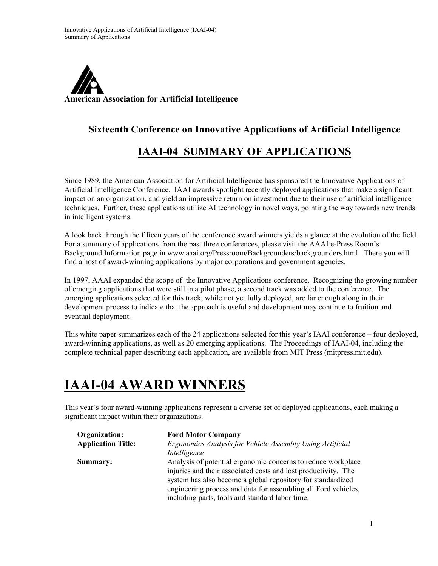

## **Sixteenth Conference on Innovative Applications of Artificial Intelligence**

## **IAAI-04 SUMMARY OF APPLICATIONS**

Since 1989, the American Association for Artificial Intelligence has sponsored the Innovative Applications of Artificial Intelligence Conference. IAAI awards spotlight recently deployed applications that make a significant impact on an organization, and yield an impressive return on investment due to their use of artificial intelligence techniques. Further, these applications utilize AI technology in novel ways, pointing the way towards new trends in intelligent systems.

A look back through the fifteen years of the conference award winners yields a glance at the evolution of the field. For a summary of applications from the past three conferences, please visit the AAAI e-Press Room's Background Information page in www.aaai.org/Pressroom/Backgrounders/backgrounders.html. There you will find a host of award-winning applications by major corporations and government agencies.

In 1997, AAAI expanded the scope of the Innovative Applications conference. Recognizing the growing number of emerging applications that were still in a pilot phase, a second track was added to the conference. The emerging applications selected for this track, while not yet fully deployed, are far enough along in their development process to indicate that the approach is useful and development may continue to fruition and eventual deployment.

This white paper summarizes each of the 24 applications selected for this year's IAAI conference – four deployed, award-winning applications, as well as 20 emerging applications. The Proceedings of IAAI-04, including the complete technical paper describing each application, are available from MIT Press (mitpress.mit.edu).

## **IAAI-04 AWARD WINNERS**

This year's four award-winning applications represent a diverse set of deployed applications, each making a significant impact within their organizations.

| Organization:             | <b>Ford Motor Company</b>                                      |
|---------------------------|----------------------------------------------------------------|
| <b>Application Title:</b> | Ergonomics Analysis for Vehicle Assembly Using Artificial      |
|                           | Intelligence                                                   |
| Summary:                  | Analysis of potential ergonomic concerns to reduce workplace   |
|                           | injuries and their associated costs and lost productivity. The |
|                           | system has also become a global repository for standardized    |
|                           | engineering process and data for assembling all Ford vehicles, |
|                           | including parts, tools and standard labor time.                |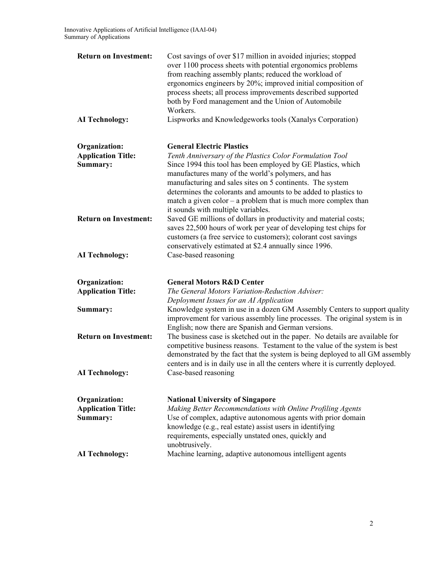| <b>Return on Investment:</b>                                  | Cost savings of over \$17 million in avoided injuries; stopped<br>over 1100 process sheets with potential ergonomics problems<br>from reaching assembly plants; reduced the workload of<br>ergonomics engineers by 20%; improved initial composition of<br>process sheets; all process improvements described supported<br>both by Ford management and the Union of Automobile<br>Workers.                             |
|---------------------------------------------------------------|------------------------------------------------------------------------------------------------------------------------------------------------------------------------------------------------------------------------------------------------------------------------------------------------------------------------------------------------------------------------------------------------------------------------|
| <b>AI Technology:</b>                                         | Lispworks and Knowledgeworks tools (Xanalys Corporation)                                                                                                                                                                                                                                                                                                                                                               |
| <b>Organization:</b><br><b>Application Title:</b><br>Summary: | <b>General Electric Plastics</b><br>Tenth Anniversary of the Plastics Color Formulation Tool<br>Since 1994 this tool has been employed by GE Plastics, which<br>manufactures many of the world's polymers, and has<br>manufacturing and sales sites on 5 continents. The system<br>determines the colorants and amounts to be added to plastics to<br>match a given $color - a$ problem that is much more complex than |
| <b>Return on Investment:</b>                                  | it sounds with multiple variables.<br>Saved GE millions of dollars in productivity and material costs;<br>saves 22,500 hours of work per year of developing test chips for<br>customers (a free service to customers); colorant cost savings<br>conservatively estimated at \$2.4 annually since 1996.                                                                                                                 |
| <b>AI Technology:</b>                                         | Case-based reasoning                                                                                                                                                                                                                                                                                                                                                                                                   |
| Organization:<br><b>Application Title:</b>                    | <b>General Motors R&amp;D Center</b><br>The General Motors Variation-Reduction Adviser:<br>Deployment Issues for an AI Application                                                                                                                                                                                                                                                                                     |
| Summary:                                                      | Knowledge system in use in a dozen GM Assembly Centers to support quality<br>improvement for various assembly line processes. The original system is in<br>English; now there are Spanish and German versions.                                                                                                                                                                                                         |
| <b>Return on Investment:</b>                                  | The business case is sketched out in the paper. No details are available for<br>competitive business reasons. Testament to the value of the system is best<br>demonstrated by the fact that the system is being deployed to all GM assembly<br>centers and is in daily use in all the centers where it is currently deployed.                                                                                          |
| <b>AI Technology:</b>                                         | Case-based reasoning                                                                                                                                                                                                                                                                                                                                                                                                   |
| <b>Organization:</b><br><b>Application Title:</b><br>Summary: | <b>National University of Singapore</b><br>Making Better Recommendations with Online Profiling Agents<br>Use of complex, adaptive autonomous agents with prior domain<br>knowledge (e.g., real estate) assist users in identifying<br>requirements, especially unstated ones, quickly and<br>unobtrusively.                                                                                                            |
| <b>AI Technology:</b>                                         | Machine learning, adaptive autonomous intelligent agents                                                                                                                                                                                                                                                                                                                                                               |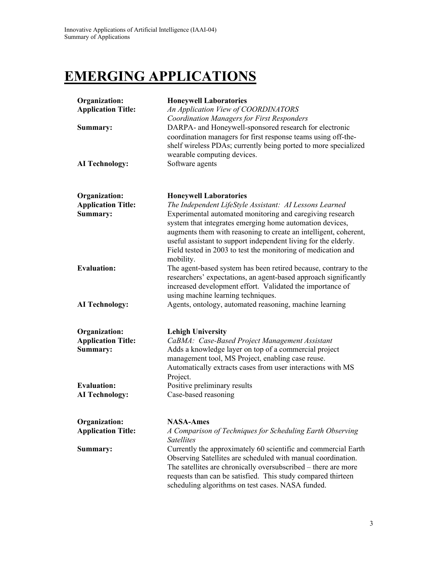## **EMERGING APPLICATIONS**

| <b>Honeywell Laboratories</b><br>An Application View of COORDINATORS<br><b>Coordination Managers for First Responders</b><br>DARPA- and Honeywell-sponsored research for electronic<br>coordination managers for first response teams using off-the-<br>shelf wireless PDAs; currently being ported to more specialized                                                                                                                |  |
|----------------------------------------------------------------------------------------------------------------------------------------------------------------------------------------------------------------------------------------------------------------------------------------------------------------------------------------------------------------------------------------------------------------------------------------|--|
| wearable computing devices.<br>Software agents                                                                                                                                                                                                                                                                                                                                                                                         |  |
| <b>Honeywell Laboratories</b><br>The Independent LifeStyle Assistant: AI Lessons Learned<br>Experimental automated monitoring and caregiving research<br>system that integrates emerging home automation devices,<br>augments them with reasoning to create an intelligent, coherent,<br>useful assistant to support independent living for the elderly.<br>Field tested in 2003 to test the monitoring of medication and<br>mobility. |  |
| The agent-based system has been retired because, contrary to the<br>researchers' expectations, an agent-based approach significantly<br>increased development effort. Validated the importance of<br>using machine learning techniques.                                                                                                                                                                                                |  |
| Agents, ontology, automated reasoning, machine learning                                                                                                                                                                                                                                                                                                                                                                                |  |
| <b>Lehigh University</b><br>CaBMA: Case-Based Project Management Assistant<br>Adds a knowledge layer on top of a commercial project<br>management tool, MS Project, enabling case reuse.<br>Automatically extracts cases from user interactions with MS<br>Project.                                                                                                                                                                    |  |
| Positive preliminary results<br>Case-based reasoning                                                                                                                                                                                                                                                                                                                                                                                   |  |
| <b>NASA-Ames</b><br>A Comparison of Techniques for Scheduling Earth Observing<br><b>Satellites</b><br>Currently the approximately 60 scientific and commercial Earth<br>Observing Satellites are scheduled with manual coordination.<br>The satellites are chronically oversubscribed – there are more<br>requests than can be satisfied. This study compared thirteen<br>scheduling algorithms on test cases. NASA funded.            |  |
|                                                                                                                                                                                                                                                                                                                                                                                                                                        |  |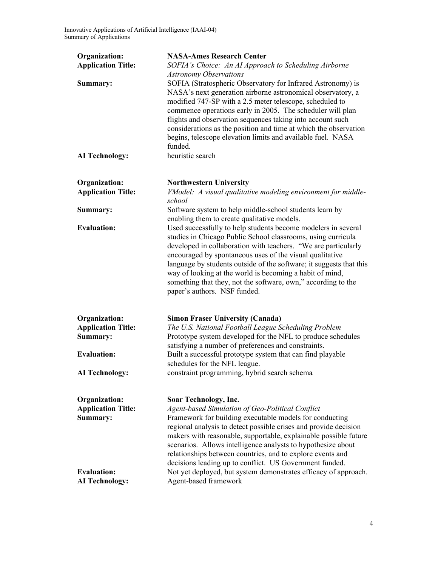| Organization:<br><b>Application Title:</b>                    | <b>NASA-Ames Research Center</b><br>SOFIA's Choice: An AI Approach to Scheduling Airborne<br><b>Astronomy Observations</b>                                                                                                                                                                                                                                                                                                                                                                      |
|---------------------------------------------------------------|-------------------------------------------------------------------------------------------------------------------------------------------------------------------------------------------------------------------------------------------------------------------------------------------------------------------------------------------------------------------------------------------------------------------------------------------------------------------------------------------------|
| Summary:                                                      | SOFIA (Stratospheric Observatory for Infrared Astronomy) is<br>NASA's next generation airborne astronomical observatory, a<br>modified 747-SP with a 2.5 meter telescope, scheduled to<br>commence operations early in 2005. The scheduler will plan<br>flights and observation sequences taking into account such<br>considerations as the position and time at which the observation<br>begins, telescope elevation limits and available fuel. NASA<br>funded.                                |
| <b>AI Technology:</b>                                         | heuristic search                                                                                                                                                                                                                                                                                                                                                                                                                                                                                |
| <b>Organization:</b><br><b>Application Title:</b>             | <b>Northwestern University</b><br>VModel: A visual qualitative modeling environment for middle-<br>school                                                                                                                                                                                                                                                                                                                                                                                       |
| Summary:                                                      | Software system to help middle-school students learn by<br>enabling them to create qualitative models.                                                                                                                                                                                                                                                                                                                                                                                          |
| <b>Evaluation:</b>                                            | Used successfully to help students become modelers in several<br>studies in Chicago Public School classrooms, using curricula<br>developed in collaboration with teachers. "We are particularly<br>encouraged by spontaneous uses of the visual qualitative<br>language by students outside of the software; it suggests that this<br>way of looking at the world is becoming a habit of mind,<br>something that they, not the software, own," according to the<br>paper's authors. NSF funded. |
| <b>Organization:</b><br><b>Application Title:</b><br>Summary: | <b>Simon Fraser University (Canada)</b><br>The U.S. National Football League Scheduling Problem<br>Prototype system developed for the NFL to produce schedules<br>satisfying a number of preferences and constraints.                                                                                                                                                                                                                                                                           |
| <b>Evaluation:</b>                                            | Built a successful prototype system that can find playable<br>schedules for the NFL league.                                                                                                                                                                                                                                                                                                                                                                                                     |
| <b>AI Technology:</b>                                         | constraint programming, hybrid search schema                                                                                                                                                                                                                                                                                                                                                                                                                                                    |
| Organization:<br><b>Application Title:</b><br>Summary:        | Soar Technology, Inc.<br>Agent-based Simulation of Geo-Political Conflict<br>Framework for building executable models for conducting<br>regional analysis to detect possible crises and provide decision<br>makers with reasonable, supportable, explainable possible future<br>scenarios. Allows intelligence analysts to hypothesize about<br>relationships between countries, and to explore events and<br>decisions leading up to conflict. US Government funded.                           |
| <b>Evaluation:</b><br><b>AI Technology:</b>                   | Not yet deployed, but system demonstrates efficacy of approach.<br>Agent-based framework                                                                                                                                                                                                                                                                                                                                                                                                        |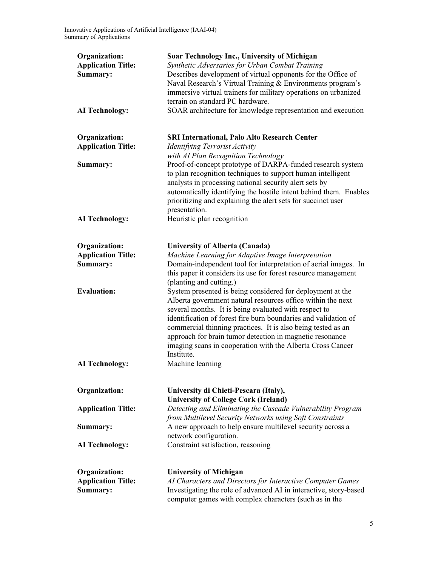| <b>Organization:</b><br><b>Application Title:</b><br>Summary:<br><b>AI Technology:</b> | Soar Technology Inc., University of Michigan<br>Synthetic Adversaries for Urban Combat Training<br>Describes development of virtual opponents for the Office of<br>Naval Research's Virtual Training & Environments program's<br>immersive virtual trainers for military operations on urbanized<br>terrain on standard PC hardware.<br>SOAR architecture for knowledge representation and execution                                                          |
|----------------------------------------------------------------------------------------|---------------------------------------------------------------------------------------------------------------------------------------------------------------------------------------------------------------------------------------------------------------------------------------------------------------------------------------------------------------------------------------------------------------------------------------------------------------|
|                                                                                        |                                                                                                                                                                                                                                                                                                                                                                                                                                                               |
| <b>Organization:</b><br><b>Application Title:</b>                                      | <b>SRI International, Palo Alto Research Center</b><br><b>Identifying Terrorist Activity</b><br>with AI Plan Recognition Technology                                                                                                                                                                                                                                                                                                                           |
| Summary:                                                                               | Proof-of-concept prototype of DARPA-funded research system<br>to plan recognition techniques to support human intelligent<br>analysts in processing national security alert sets by<br>automatically identifying the hostile intent behind them. Enables<br>prioritizing and explaining the alert sets for succinct user<br>presentation.                                                                                                                     |
| <b>AI</b> Technology:                                                                  | Heuristic plan recognition                                                                                                                                                                                                                                                                                                                                                                                                                                    |
| Organization:                                                                          | University of Alberta (Canada)                                                                                                                                                                                                                                                                                                                                                                                                                                |
| <b>Application Title:</b><br>Summary:                                                  | Machine Learning for Adaptive Image Interpretation<br>Domain-independent tool for interpretation of aerial images. In<br>this paper it considers its use for forest resource management<br>(planting and cutting.)                                                                                                                                                                                                                                            |
| <b>Evaluation:</b>                                                                     | System presented is being considered for deployment at the<br>Alberta government natural resources office within the next<br>several months. It is being evaluated with respect to<br>identification of forest fire burn boundaries and validation of<br>commercial thinning practices. It is also being tested as an<br>approach for brain tumor detection in magnetic resonance<br>imaging scans in cooperation with the Alberta Cross Cancer<br>Institute. |
| <b>AI Technology:</b>                                                                  | Machine learning                                                                                                                                                                                                                                                                                                                                                                                                                                              |
| Organization:                                                                          | University di Chieti-Pescara (Italy),                                                                                                                                                                                                                                                                                                                                                                                                                         |
| <b>Application Title:</b>                                                              | <b>University of College Cork (Ireland)</b><br>Detecting and Eliminating the Cascade Vulnerability Program<br>from Multilevel Security Networks using Soft Constraints                                                                                                                                                                                                                                                                                        |
| Summary:                                                                               | A new approach to help ensure multilevel security across a<br>network configuration.                                                                                                                                                                                                                                                                                                                                                                          |
| <b>AI</b> Technology:                                                                  | Constraint satisfaction, reasoning                                                                                                                                                                                                                                                                                                                                                                                                                            |
| Organization:<br><b>Application Title:</b><br>Summary:                                 | <b>University of Michigan</b><br>AI Characters and Directors for Interactive Computer Games<br>Investigating the role of advanced AI in interactive, story-based<br>computer games with complex characters (such as in the                                                                                                                                                                                                                                    |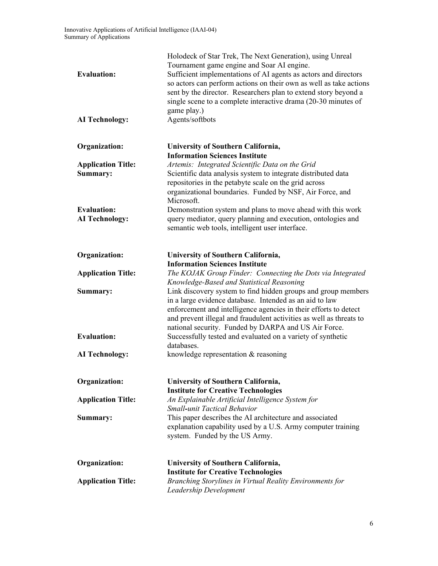| <b>Evaluation:</b><br><b>AI Technology:</b> | Holodeck of Star Trek, The Next Generation), using Unreal<br>Tournament game engine and Soar AI engine.<br>Sufficient implementations of AI agents as actors and directors<br>so actors can perform actions on their own as well as take actions<br>sent by the director. Researchers plan to extend story beyond a<br>single scene to a complete interactive drama (20-30 minutes of<br>game play.)<br>Agents/softbots |
|---------------------------------------------|-------------------------------------------------------------------------------------------------------------------------------------------------------------------------------------------------------------------------------------------------------------------------------------------------------------------------------------------------------------------------------------------------------------------------|
|                                             |                                                                                                                                                                                                                                                                                                                                                                                                                         |
| Organization:                               | University of Southern California,<br><b>Information Sciences Institute</b>                                                                                                                                                                                                                                                                                                                                             |
| <b>Application Title:</b><br>Summary:       | Artemis: Integrated Scientific Data on the Grid<br>Scientific data analysis system to integrate distributed data<br>repositories in the petabyte scale on the grid across<br>organizational boundaries. Funded by NSF, Air Force, and<br>Microsoft.                                                                                                                                                                     |
| <b>Evaluation:</b><br><b>AI Technology:</b> | Demonstration system and plans to move ahead with this work<br>query mediator, query planning and execution, ontologies and<br>semantic web tools, intelligent user interface.                                                                                                                                                                                                                                          |
| Organization:                               | <b>University of Southern California,</b><br><b>Information Sciences Institute</b>                                                                                                                                                                                                                                                                                                                                      |
| <b>Application Title:</b>                   | The KOJAK Group Finder: Connecting the Dots via Integrated<br>Knowledge-Based and Statistical Reasoning                                                                                                                                                                                                                                                                                                                 |
| Summary:                                    | Link discovery system to find hidden groups and group members<br>in a large evidence database. Intended as an aid to law<br>enforcement and intelligence agencies in their efforts to detect<br>and prevent illegal and fraudulent activities as well as threats to<br>national security. Funded by DARPA and US Air Force.                                                                                             |
| <b>Evaluation:</b>                          | Successfully tested and evaluated on a variety of synthetic<br>databases.                                                                                                                                                                                                                                                                                                                                               |
| <b>AI Technology:</b>                       | knowledge representation & reasoning                                                                                                                                                                                                                                                                                                                                                                                    |
| Organization:                               | University of Southern California,<br><b>Institute for Creative Technologies</b>                                                                                                                                                                                                                                                                                                                                        |
| <b>Application Title:</b>                   | An Explainable Artificial Intelligence System for<br>Small-unit Tactical Behavior                                                                                                                                                                                                                                                                                                                                       |
| Summary:                                    | This paper describes the AI architecture and associated<br>explanation capability used by a U.S. Army computer training<br>system. Funded by the US Army.                                                                                                                                                                                                                                                               |
| <b>Organization:</b>                        | <b>University of Southern California,</b>                                                                                                                                                                                                                                                                                                                                                                               |
| <b>Application Title:</b>                   | <b>Institute for Creative Technologies</b><br>Branching Storylines in Virtual Reality Environments for<br>Leadership Development                                                                                                                                                                                                                                                                                        |